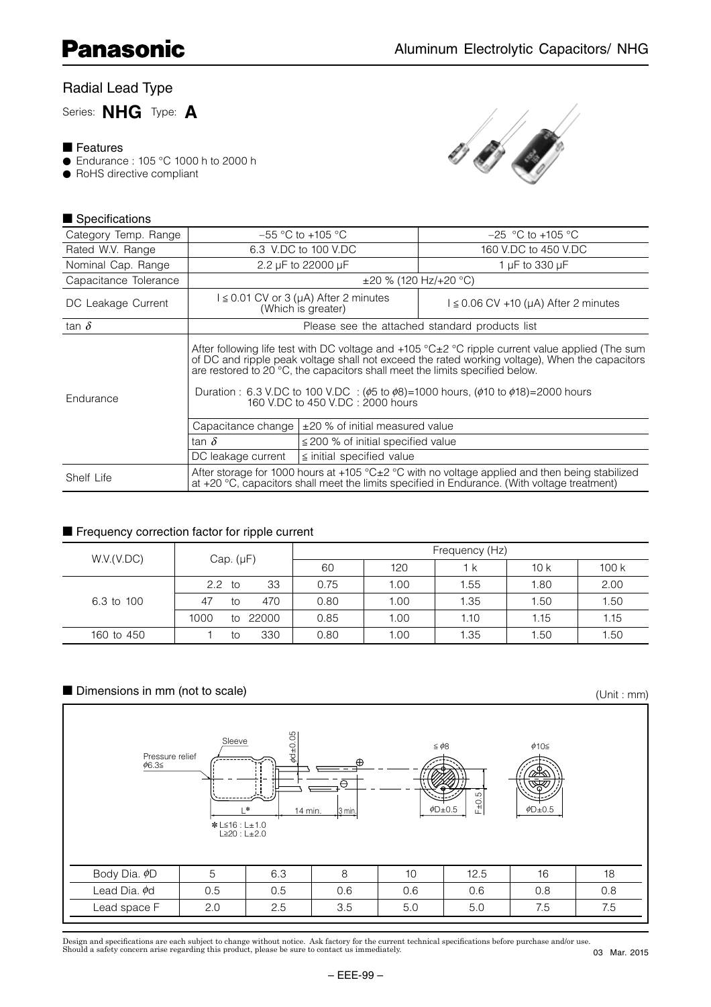# Radial Lead Type

Series: **NHG** Type: **A**

#### ■ Features

- Endurance : 105 °C 1000 h to 2000 h
- RoHS directive compliant



#### ■ Specifications

| Category Temp. Range  |                                                                                                                                                                                                                                                                                                                                                                                                                                              | $-55$ °C to +105 °C                                                                                                                                                                                                        | $-25$ °C to +105 °C                       |  |  |  |  |  |  |
|-----------------------|----------------------------------------------------------------------------------------------------------------------------------------------------------------------------------------------------------------------------------------------------------------------------------------------------------------------------------------------------------------------------------------------------------------------------------------------|----------------------------------------------------------------------------------------------------------------------------------------------------------------------------------------------------------------------------|-------------------------------------------|--|--|--|--|--|--|
| Rated W.V. Range      |                                                                                                                                                                                                                                                                                                                                                                                                                                              | 6.3 V.DC to 100 V.DC                                                                                                                                                                                                       | 160 V.DC to 450 V.DC                      |  |  |  |  |  |  |
| Nominal Cap. Range    |                                                                                                                                                                                                                                                                                                                                                                                                                                              | 2.2 µF to 22000 µF                                                                                                                                                                                                         | 1 $\mu$ F to 330 $\mu$ F                  |  |  |  |  |  |  |
| Capacitance Tolerance |                                                                                                                                                                                                                                                                                                                                                                                                                                              | $\pm$ 20 % (120 Hz/+20 °C)                                                                                                                                                                                                 |                                           |  |  |  |  |  |  |
| DC Leakage Current    |                                                                                                                                                                                                                                                                                                                                                                                                                                              | $\leq$ 0.01 CV or 3 (µA) After 2 minutes<br>(Which is greater)                                                                                                                                                             | $l \leq 0.06$ CV +10 (µA) After 2 minutes |  |  |  |  |  |  |
| tan $\delta$          | Please see the attached standard products list                                                                                                                                                                                                                                                                                                                                                                                               |                                                                                                                                                                                                                            |                                           |  |  |  |  |  |  |
| Endurance             | After following life test with DC voltage and $+105$ °C $\pm$ 2 °C ripple current value applied (The sum<br>of DC and ripple peak voltage shall not exceed the rated working voltage), When the capacitors<br>are restored to 20 °C, the capacitors shall meet the limits specified below.<br>Duration : 6.3 V.DC to 100 V.DC : ( $\phi$ 5 to $\phi$ 8)=1000 hours, ( $\phi$ 10 to $\phi$ 18)=2000 hours<br>160 V.DC to 450 V.DC: 2000 hours |                                                                                                                                                                                                                            |                                           |  |  |  |  |  |  |
|                       | Capacitance change                                                                                                                                                                                                                                                                                                                                                                                                                           | $\pm$ 20 % of initial measured value                                                                                                                                                                                       |                                           |  |  |  |  |  |  |
|                       | tan $\delta$                                                                                                                                                                                                                                                                                                                                                                                                                                 | $\leq$ 200 % of initial specified value                                                                                                                                                                                    |                                           |  |  |  |  |  |  |
|                       | DC leakage current                                                                                                                                                                                                                                                                                                                                                                                                                           | $\le$ initial specified value                                                                                                                                                                                              |                                           |  |  |  |  |  |  |
| Shelf Life            |                                                                                                                                                                                                                                                                                                                                                                                                                                              | After storage for 1000 hours at +105 $^{\circ}$ C $\pm$ 2 $^{\circ}$ C with no voltage applied and then being stabilized<br>at $+20$ °C, capacitors shall meet the limits specified in Endurance. (With voltage treatment) |                                           |  |  |  |  |  |  |

#### ■ Frequency correction factor for ripple current

|            | Cap. $(\mu F)$ |    |          | Frequency (Hz) |      |      |      |      |  |  |  |
|------------|----------------|----|----------|----------------|------|------|------|------|--|--|--|
| W.V.(V.DC) |                |    |          | 60             | 120  | 1 k  | 10k  | 100k |  |  |  |
|            | $2.2$ to       |    | 33       | 0.75           | 1.00 | 1.55 | 1.80 | 2.00 |  |  |  |
| 6.3 to 100 | 47             | to | 470      | 0.80           | 1.00 | 1.35 | 1.50 | 1.50 |  |  |  |
|            | 1000           |    | to 22000 | 0.85           | 1.00 | 1.10 | 1.15 | 1.15 |  |  |  |
| 160 to 450 |                | to | 330      | 0.80           | 1.00 | 1.35 | 1.50 | 1.50 |  |  |  |

#### ■ Dimensions in mm (not to scale)

(Unit : mm)



Design and specifications are each subject to change without notice. Ask factory for the current technical specifications before purchase and/or use.<br>Should a safety concern arise regarding this product, please be sure to 03 Mar. 2015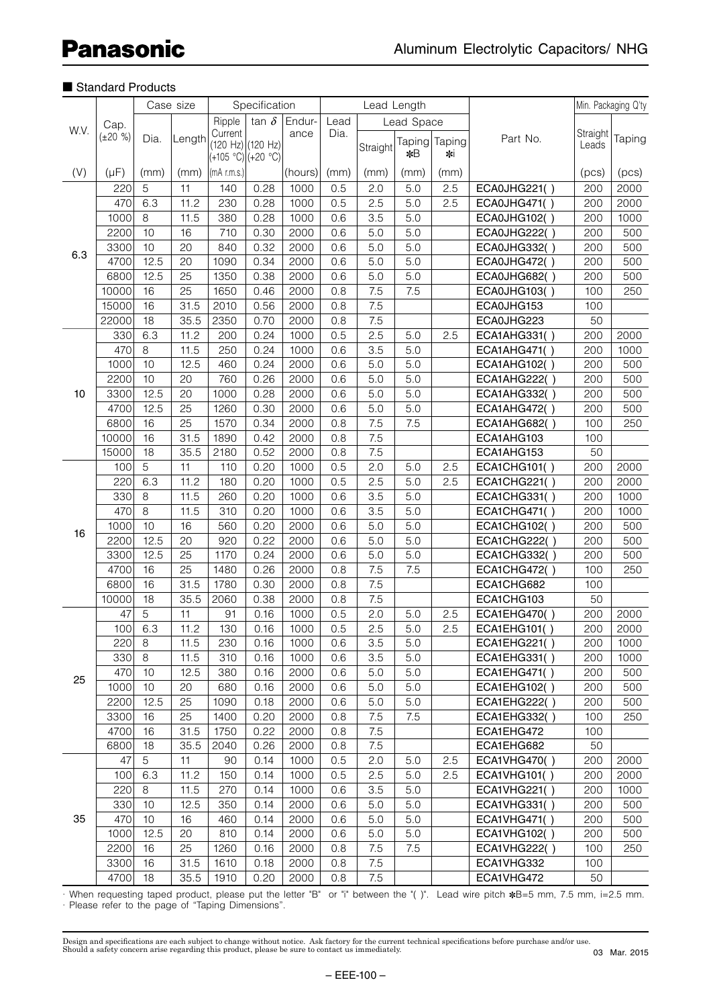|      |               | Case size |        | Specification      |              |         |              | Lead Length |            |        |                     | Min. Packaging Q'ty |        |
|------|---------------|-----------|--------|--------------------|--------------|---------|--------------|-------------|------------|--------|---------------------|---------------------|--------|
| W.V. |               |           |        |                    | tan $\delta$ | Endur-  |              |             |            |        |                     |                     |        |
|      | Cap.          |           |        | Ripple<br>Current  |              | ance    | Lead<br>Dia. |             | Lead Space |        |                     | Straight            |        |
|      | $(\pm 20 \%)$ | Dia.      | Length | (120 Hz) (120 Hz)  |              |         |              | Straight    | Taping     | Taping | Part No.            | Leads               | Taping |
|      |               |           |        | (+105 °C) (+20 °C) |              |         |              |             | *B         | ∗i     |                     |                     |        |
| (V)  | $(\mu F)$     | (mm)      | (mm)   | $(mA$ r.m.s.)      |              | (hours) | (mm)         | (mm)        | (mm)       | (mm)   |                     | (pcs)               | (pcs)  |
|      | 220           | 5         | 11     | 140                | 0.28         | 1000    | 0.5          | 2.0         | 5.0        | 2.5    | ECA0JHG221()        | 200                 | 2000   |
|      | 470           | 6.3       | 11.2   | 230                | 0.28         | 1000    | 0.5          | 2.5         | 5.0        | 2.5    | ECA0JHG471()        | 200                 | 2000   |
|      | 1000          | 8         | 11.5   | 380                | 0.28         | 1000    | 0.6          | 3.5         | 5.0        |        | <b>ECA0JHG102()</b> | 200                 | 1000   |
|      | 2200          | 10        | 16     | 710                | 0.30         | 2000    | 0.6          | 5.0         | 5.0        |        | ECA0JHG222()        | 200                 | 500    |
|      | 3300          | 10        | 20     | 840                | 0.32         | 2000    | 0.6          | 5.0         | 5.0        |        | <b>ECA0JHG332()</b> | 200                 | 500    |
| 6.3  | 4700          | 12.5      | 20     | 1090               | 0.34         | 2000    | 0.6          | 5.0         | 5.0        |        | ECA0JHG472()        | 200                 | 500    |
|      | 6800          | 12.5      | 25     | 1350               | 0.38         | 2000    | 0.6          | 5.0         | 5.0        |        | ECA0JHG682()        | 200                 | 500    |
|      | 10000         | 16        | 25     | 1650               | 0.46         | 2000    | 0.8          | 7.5         | 7.5        |        | ECA0JHG103()        | 100                 | 250    |
|      | 15000         | 16        | 31.5   | 2010               | 0.56         | 2000    | 0.8          | 7.5         |            |        | ECA0JHG153          | 100                 |        |
|      | 22000         | 18        | 35.5   | 2350               | 0.70         | 2000    | 0.8          | 7.5         |            |        | ECA0JHG223          | 50                  |        |
|      | 330           | 6.3       | 11.2   | 200                | 0.24         | 1000    | 0.5          | 2.5         | 5.0        | 2.5    | ECA1AHG331()        | 200                 | 2000   |
|      | 470           | 8         | 11.5   | 250                | 0.24         | 1000    | 0.6          | 3.5         | 5.0        |        | ECA1AHG471()        | 200                 | 1000   |
|      | 1000          | 10        | 12.5   | 460                | 0.24         | 2000    | 0.6          | 5.0         | 5.0        |        | <b>ECA1AHG102()</b> | 200                 | 500    |
|      | 2200          | 10        | 20     | 760                | 0.26         | 2000    | 0.6          | 5.0         | 5.0        |        | ECA1AHG222()        | 200                 | 500    |
| 10   | 3300          | 12.5      | 20     | 1000               | 0.28         | 2000    | 0.6          | 5.0         | 5.0        |        | ECA1AHG332()        | 200                 | 500    |
|      | 4700          | 12.5      | 25     | 1260               | 0.30         | 2000    | 0.6          | 5.0         | 5.0        |        | ECA1AHG472()        | 200                 | 500    |
|      | 6800          | 16        | 25     | 1570               | 0.34         | 2000    | 0.8          | 7.5         | 7.5        |        | ECA1AHG682()        | 100                 | 250    |
|      | 10000         | 16        | 31.5   | 1890               | 0.42         | 2000    | 0.8          | 7.5         |            |        | ECA1AHG103          | 100                 |        |
|      | 15000         | 18        | 35.5   |                    | 0.52         |         | 0.8          | 7.5         |            |        |                     | 50                  |        |
|      | 100           | 5         | 11     | 2180               |              | 2000    |              |             |            |        | ECA1AHG153          |                     |        |
|      |               |           |        | 110                | 0.20         | 1000    | 0.5          | 2.0         | 5.0        | 2.5    | <b>ECA1CHG101()</b> | 200                 | 2000   |
|      | 220           | 6.3       | 11.2   | 180                | 0.20         | 1000    | 0.5          | 2.5         | 5.0        | 2.5    | <b>ECA1CHG221()</b> | 200                 | 2000   |
|      | 330           | 8         | 11.5   | 260                | 0.20         | 1000    | 0.6          | 3.5         | 5.0        |        | ECA1CHG331()        | 200                 | 1000   |
|      | 470           | 8         | 11.5   | 310                | 0.20         | 1000    | 0.6          | 3.5         | 5.0        |        | ECA1CHG471()        | 200                 | 1000   |
| 16   | 1000          | 10        | 16     | 560                | 0.20         | 2000    | 0.6          | 5.0         | 5.0        |        | <b>ECA1CHG102()</b> | 200                 | 500    |
|      | 2200          | 12.5      | 20     | 920                | 0.22         | 2000    | 0.6          | 5.0         | 5.0        |        | ECA1CHG222()        | 200                 | 500    |
|      | 3300          | 12.5      | 25     | 1170               | 0.24         | 2000    | 0.6          | 5.0         | 5.0        |        | <b>ECA1CHG332()</b> | 200                 | 500    |
|      | 4700          | 16        | 25     | 1480               | 0.26         | 2000    | 0.8          | 7.5         | 7.5        |        | ECA1CHG472()        | 100                 | 250    |
|      | 6800          | 16        | 31.5   | 1780               | 0.30         | 2000    | 0.8          | 7.5         |            |        | ECA1CHG682          | 100                 |        |
|      | 10000         | 18        | 35.5   | 2060               | 0.38         | 2000    | 0.8          | 7.5         |            |        | ECA1CHG103          | 50                  |        |
|      | 47            | 5         | 11     | 91                 | 0.16         | 1000    | 0.5          | 2.0         | 5.0        | 2.5    | ECA1EHG470()        | 200                 | 2000   |
|      | 100           | 6.3       | 11.2   | 130                | 0.16         | 1000    | 0.5          | 2.5         | 5.0        | 2.5    | ECA1EHG101()        | 200                 | 2000   |
|      | 220           | 8         | 11.5   | 230                | 0.16         | 1000    | 0.6          | 3.5         | 5.0        |        | ECA1EHG221()        | 200                 | 1000   |
|      | 330           | 8         | 11.5   | 310                | 0.16         | 1000    | 0.6          | 3.5         | 5.0        |        | ECA1EHG331()        | 200                 | 1000   |
| 25   | 470           | 10        | 12.5   | 380                | 0.16         | 2000    | 0.6          | 5.0         | 5.0        |        | <b>ECA1EHG471()</b> | 200                 | 500    |
|      | 1000          | 10        | 20     | 680                | 0.16         | 2000    | 0.6          | 5.0         | 5.0        |        | ECA1EHG102()        | 200                 | 500    |
|      | 2200          | 12.5      | 25     | 1090               | 0.18         | 2000    | 0.6          | 5.0         | 5.0        |        | <b>ECA1EHG222()</b> | 200                 | 500    |
|      | 3300          | 16        | 25     | 1400               | 0.20         | 2000    | 0.8          | 7.5         | 7.5        |        | ECA1EHG332()        | 100                 | 250    |
|      | 4700          | 16        | 31.5   | 1750               | 0.22         | 2000    | 0.8          | 7.5         |            |        | ECA1EHG472          | 100                 |        |
|      | 6800          | 18        | 35.5   | 2040               | 0.26         | 2000    | 0.8          | 7.5         |            |        | ECA1EHG682          | 50                  |        |
|      | 47            | 5         | 11     | 90                 | 0.14         | 1000    | 0.5          | 2.0         | 5.0        | 2.5    | ECA1VHG470()        | 200                 | 2000   |
|      | 100           | 6.3       | 11.2   | 150                | 0.14         | 1000    | 0.5          | 2.5         | 5.0        | 2.5    | ECA1VHG101()        | 200                 | 2000   |
|      | 220           | 8         | 11.5   | 270                | 0.14         | 1000    | 0.6          | 3.5         | 5.0        |        | ECA1VHG221()        | 200                 | 1000   |
|      | 330           | 10        | 12.5   | 350                | 0.14         | 2000    | 0.6          | 5.0         | 5.0        |        | ECA1VHG331()        | 200                 | 500    |
| 35   | 470           | 10        | 16     | 460                | 0.14         | 2000    | 0.6          | 5.0         | 5.0        |        | ECA1VHG471()        | 200                 | 500    |
|      | 1000          | 12.5      | 20     | 810                | 0.14         | 2000    | 0.6          | 5.0         | $5.0$      |        | ECA1VHG102()        | 200                 | 500    |
|      | 2200          | 16        | 25     | 1260               | 0.16         | 2000    | 0.8          | 7.5         | 7.5        |        | ECA1VHG222()        | 100                 | 250    |
|      | 3300          | 16        | 31.5   | 1610               | 0.18         | 2000    | 0.8          | 7.5         |            |        | ECA1VHG332          | 100                 |        |
|      | 4700          | 18        | 35.5   | 1910               | 0.20         | 2000    | 0.8          | 7.5         |            |        | ECA1VHG472          | 50                  |        |

· When requesting taped product, please put the letter "B" or "i" between the "( )". Lead wire pitch ✽B=5 mm, 7.5 mm, i=2.5 mm. · Please refer to the page of "Taping Dimensions".

Design and specifications are each subject to change without notice. Ask factory for the current technical specifications before purchase and/or use.<br>Should a safety concern arise regarding this product, please be sure to 03 Mar. 2015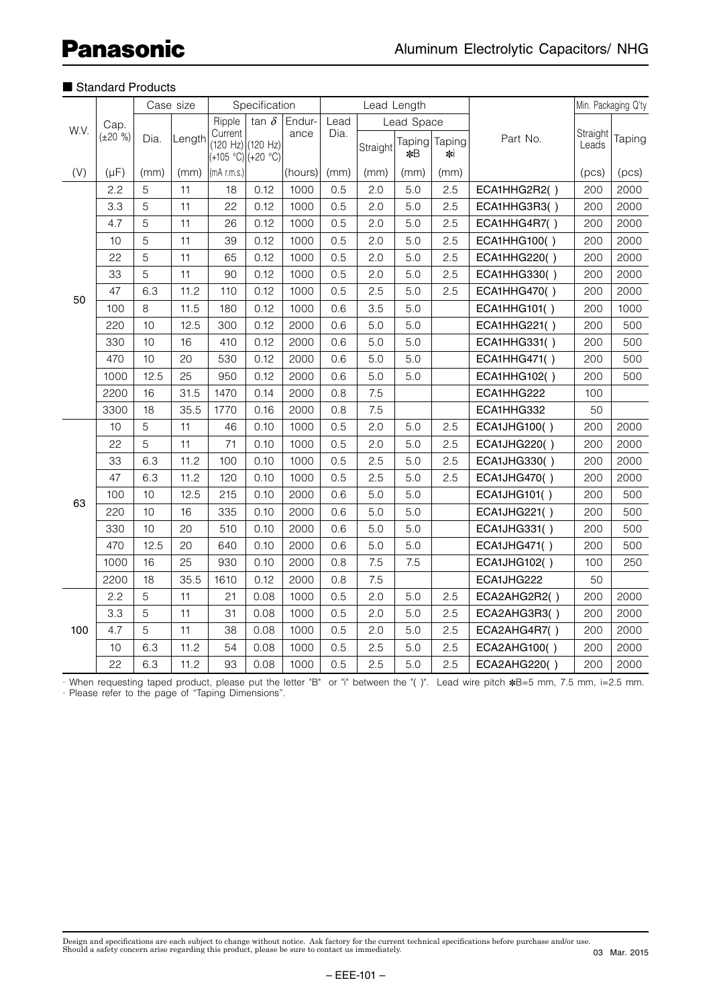|      |               |      | Case size |                                                    | Specification |                |      |          | Lead Length  |               |                     | Min. Packaging Q'ty |        |
|------|---------------|------|-----------|----------------------------------------------------|---------------|----------------|------|----------|--------------|---------------|---------------------|---------------------|--------|
|      | Cap.          |      |           | Ripple                                             | $tan \delta$  | Endur-<br>ance | Lead |          | Lead Space   |               |                     |                     |        |
| W.V. | $(\pm 20 \%)$ | Dia. | Length    | Current<br>(120 Hz) (120 Hz)<br>(+105 °C) (+20 °C) |               |                | Dia. | Straight | Taping<br>*B | Taping<br>∗ki | Part No.            | Straight<br>Leads   | Taping |
| (V)  | $(\mu F)$     | (mm) | (mm)      | $\vert$ (mA r.m.s.)                                |               | (hours)        | (mm) | (mm)     | (mm)         | (mm)          |                     | (pcs)               | (pcs)  |
|      | 2.2           | 5    | 11        | 18                                                 | 0.12          | 1000           | 0.5  | 2.0      | 5.0          | 2.5           | ECA1HHG2R2()        | 200                 | 2000   |
|      | 3.3           | 5    | 11        | 22                                                 | 0.12          | 1000           | 0.5  | 2.0      | 5.0          | 2.5           | ECA1HHG3R3()        | 200                 | 2000   |
|      | 4.7           | 5    | 11        | 26                                                 | 0.12          | 1000           | 0.5  | 2.0      | 5.0          | 2.5           | ECA1HHG4R7()        | 200                 | 2000   |
|      | 10            | 5    | 11        | 39                                                 | 0.12          | 1000           | 0.5  | 2.0      | 5.0          | 2.5           | ECA1HHG100()        | 200                 | 2000   |
|      | 22            | 5    | 11        | 65                                                 | 0.12          | 1000           | 0.5  | 2.0      | 5.0          | 2.5           | ECA1HHG220()        | 200                 | 2000   |
|      | 33            | 5    | 11        | 90                                                 | 0.12          | 1000           | 0.5  | 2.0      | 5.0          | 2.5           | ECA1HHG330()        | 200                 | 2000   |
| 50   | 47            | 6.3  | 11.2      | 110                                                | 0.12          | 1000           | 0.5  | 2.5      | 5.0          | 2.5           | ECA1HHG470()        | 200                 | 2000   |
|      | 100           | 8    | 11.5      | 180                                                | 0.12          | 1000           | 0.6  | 3.5      | 5.0          |               | <b>ECA1HHG101()</b> | 200                 | 1000   |
|      | 220           | 10   | 12.5      | 300                                                | 0.12          | 2000           | 0.6  | 5.0      | 5.0          |               | ECA1HHG221()        | 200                 | 500    |
|      | 330           | 10   | 16        | 410                                                | 0.12          | 2000           | 0.6  | 5.0      | 5.0          |               | ECA1HHG331()        | 200                 | 500    |
|      | 470           | 10   | 20        | 530                                                | 0.12          | 2000           | 0.6  | 5.0      | 5.0          |               | <b>ECA1HHG471()</b> | 200                 | 500    |
|      | 1000          | 12.5 | 25        | 950                                                | 0.12          | 2000           | 0.6  | 5.0      | 5.0          |               | <b>ECA1HHG102()</b> | 200                 | 500    |
|      | 2200          | 16   | 31.5      | 1470                                               | 0.14          | 2000           | 0.8  | 7.5      |              |               | ECA1HHG222          | 100                 |        |
|      | 3300          | 18   | 35.5      | 1770                                               | 0.16          | 2000           | 0.8  | 7.5      |              |               | ECA1HHG332          | 50                  |        |
|      | 10            | 5    | 11        | 46                                                 | 0.10          | 1000           | 0.5  | 2.0      | 5.0          | 2.5           | <b>ECA1JHG100()</b> | 200                 | 2000   |
|      | 22            | 5    | 11        | 71                                                 | 0.10          | 1000           | 0.5  | 2.0      | 5.0          | 2.5           | ECA1JHG220()        | 200                 | 2000   |
|      | 33            | 6.3  | 11.2      | 100                                                | 0.10          | 1000           | 0.5  | 2.5      | 5.0          | 2.5           | ECA1JHG330()        | 200                 | 2000   |
|      | 47            | 6.3  | 11.2      | 120                                                | 0.10          | 1000           | 0.5  | 2.5      | 5.0          | 2.5           | ECA1JHG470()        | 200                 | 2000   |
| 63   | 100           | 10   | 12.5      | 215                                                | 0.10          | 2000           | 0.6  | 5.0      | 5.0          |               | <b>ECA1JHG101()</b> | 200                 | 500    |
|      | 220           | 10   | 16        | 335                                                | 0.10          | 2000           | 0.6  | 5.0      | 5.0          |               | <b>ECA1JHG221()</b> | 200                 | 500    |
|      | 330           | 10   | 20        | 510                                                | 0.10          | 2000           | 0.6  | 5.0      | 5.0          |               | ECA1JHG331()        | 200                 | 500    |
|      | 470           | 12.5 | 20        | 640                                                | 0.10          | 2000           | 0.6  | 5.0      | 5.0          |               | <b>ECA1JHG471()</b> | 200                 | 500    |
|      | 1000          | 16   | 25        | 930                                                | 0.10          | 2000           | 0.8  | 7.5      | 7.5          |               | <b>ECA1JHG102()</b> | 100                 | 250    |
|      | 2200          | 18   | 35.5      | 1610                                               | 0.12          | 2000           | 0.8  | 7.5      |              |               | ECA1JHG222          | 50                  |        |
|      | 2.2           | 5    | 11        | 21                                                 | 0.08          | 1000           | 0.5  | 2.0      | 5.0          | 2.5           | ECA2AHG2R2()        | 200                 | 2000   |
|      | 3.3           | 5    | 11        | 31                                                 | 0.08          | 1000           | 0.5  | 2.0      | 5.0          | 2.5           | ECA2AHG3R3()        | 200                 | 2000   |
| 100  | 4.7           | 5    | 11        | 38                                                 | 0.08          | 1000           | 0.5  | 2.0      | 5.0          | 2.5           | ECA2AHG4R7()        | 200                 | 2000   |
|      | 10            | 6.3  | 11.2      | 54                                                 | 0.08          | 1000           | 0.5  | 2.5      | 5.0          | 2.5           | ECA2AHG100()        | 200                 | 2000   |
|      | 22            | 6.3  | 11.2      | 93                                                 | 0.08          | 1000           | 0.5  | 2.5      | 5.0          | 2.5           | ECA2AHG220()        | 200                 | 2000   |

· When requesting taped product, please put the letter "B" or "i" between the "( )". Lead wire pitch ✽B=5 mm, 7.5 mm, i=2.5 mm. · Please refer to the page of "Taping Dimensions".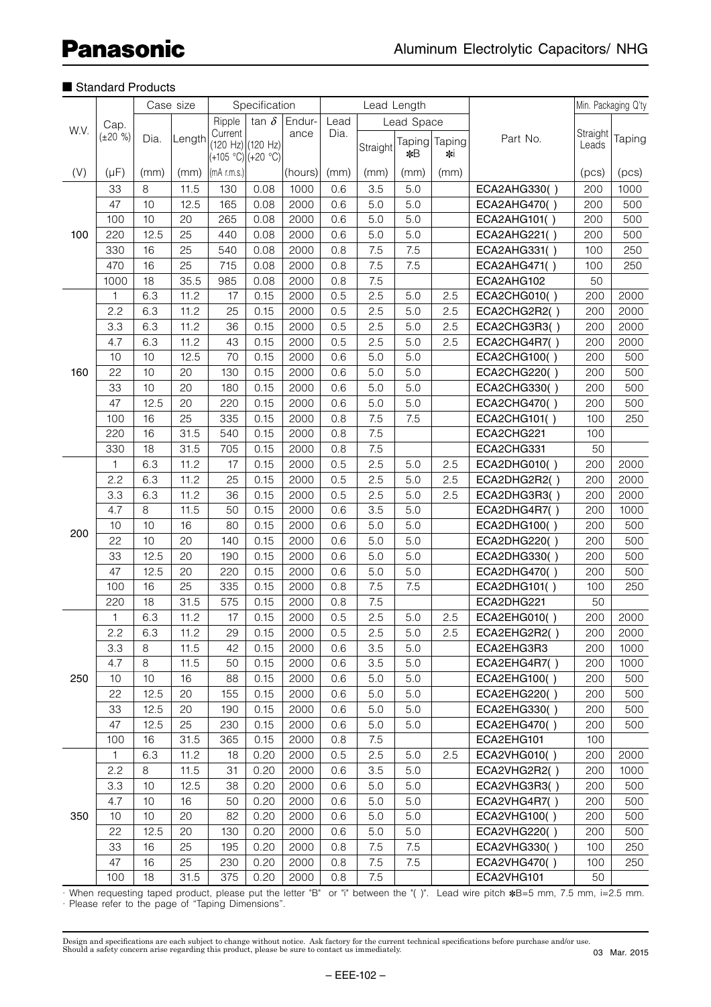|      |                       |      | Case size |                                         | Specification                                |         |      | Lead Length |        |          |              |          | Min. Packaging Q'ty |
|------|-----------------------|------|-----------|-----------------------------------------|----------------------------------------------|---------|------|-------------|--------|----------|--------------|----------|---------------------|
| W.V. |                       |      |           | Ripple                                  | tan $\delta$<br>Endur-<br>Lead<br>Lead Space |         |      |             |        |          |              |          |                     |
|      | Cap.<br>$(\pm 20 \%)$ | Dia. | Length    | Current                                 |                                              | ance    | Dia. |             | Taping | Taping   | Part No.     | Straight | Taping              |
|      |                       |      |           | (120 Hz) (120 Hz)<br>(+105 °C) (+20 °C) |                                              |         |      | Straight    | *B     | $\ast$ i |              | Leads    |                     |
| (V)  | $(\mu F)$             | (mm) | (mm)      | $(mA$ r.m.s.)                           |                                              | (hours) | (mm) | (mm)        | (mm)   | (mm)     |              | (pcs)    | (pcs)               |
|      | 33                    | 8    | 11.5      | 130                                     | 0.08                                         | 1000    | 0.6  | 3.5         | 5.0    |          | ECA2AHG330() | 200      | 1000                |
|      | 47                    | 10   | 12.5      | 165                                     | 0.08                                         | 2000    | 0.6  | 5.0         | 5.0    |          | ECA2AHG470() | 200      | 500                 |
|      | 100                   | 10   | 20        | 265                                     | 0.08                                         | 2000    | 0.6  | 5.0         | 5.0    |          | ECA2AHG101() | 200      | 500                 |
| 100  | 220                   | 12.5 | 25        | 440                                     | 0.08                                         | 2000    | 0.6  | 5.0         | 5.0    |          | ECA2AHG221() | 200      | 500                 |
|      | 330                   | 16   | 25        | 540                                     | 0.08                                         | 2000    | 0.8  | 7.5         | 7.5    |          | ECA2AHG331() | 100      | 250                 |
|      | 470                   | 16   | 25        | 715                                     | 0.08                                         | 2000    | 0.8  | 7.5         | 7.5    |          | ECA2AHG471() | 100      | 250                 |
|      | 1000                  | 18   | 35.5      | 985                                     | 0.08                                         | 2000    | 0.8  | 7.5         |        |          | ECA2AHG102   | 50       |                     |
|      | 1                     | 6.3  | 11.2      | 17                                      | 0.15                                         | 2000    | 0.5  | 2.5         | 5.0    | 2.5      | ECA2CHG010() | 200      | 2000                |
|      | 2.2                   | 6.3  | 11.2      | 25                                      | 0.15                                         | 2000    | 0.5  | 2.5         | 5.0    | 2.5      | ECA2CHG2R2() | 200      | 2000                |
|      | 3.3                   | 6.3  | 11.2      | 36                                      | 0.15                                         | 2000    | 0.5  | 2.5         | 5.0    | 2.5      | ECA2CHG3R3() | 200      | 2000                |
|      | 4.7                   | 6.3  | 11.2      | 43                                      | 0.15                                         | 2000    | 0.5  | 2.5         | 5.0    | 2.5      | ECA2CHG4R7() | 200      | 2000                |
|      | 10                    | 10   | 12.5      | 70                                      | 0.15                                         | 2000    | 0.6  | 5.0         | 5.0    |          | ECA2CHG100() | 200      | 500                 |
| 160  | 22                    | 10   | 20        | 130                                     | 0.15                                         | 2000    | 0.6  | 5.0         | 5.0    |          | ECA2CHG220() | 200      | 500                 |
|      | 33                    | 10   | 20        | 180                                     | 0.15                                         | 2000    | 0.6  | 5.0         | 5.0    |          | ECA2CHG330() | 200      | 500                 |
|      | 47                    | 12.5 | 20        | 220                                     | 0.15                                         | 2000    | 0.6  | 5.0         | 5.0    |          | ECA2CHG470() | 200      | 500                 |
|      | 100                   | 16   | 25        | 335                                     | 0.15                                         | 2000    | 0.8  | 7.5         | 7.5    |          | ECA2CHG101() | 100      | 250                 |
|      | 220                   | 16   | 31.5      | 540                                     | 0.15                                         | 2000    | 0.8  | 7.5         |        |          | ECA2CHG221   | 100      |                     |
|      | 330                   | 18   | 31.5      | 705                                     | 0.15                                         | 2000    | 0.8  | 7.5         |        |          | ECA2CHG331   | 50       |                     |
|      | $\mathbf{1}$          | 6.3  | 11.2      | 17                                      | 0.15                                         | 2000    | 0.5  | 2.5         | 5.0    | 2.5      | ECA2DHG010() | 200      | 2000                |
|      | 2.2                   | 6.3  | 11.2      | 25                                      | 0.15                                         | 2000    | 0.5  | 2.5         | 5.0    | 2.5      | ECA2DHG2R2() | 200      | 2000                |
|      | 3.3                   | 6.3  | 11.2      | 36                                      | 0.15                                         | 2000    | 0.5  | 2.5         | 5.0    | 2.5      | ECA2DHG3R3() | 200      | 2000                |
|      | 4.7                   | 8    | 11.5      | 50                                      | 0.15                                         | 2000    | 0.6  | 3.5         | 5.0    |          | ECA2DHG4R7() | 200      | 1000                |
| 200  | 10                    | 10   | 16        | 80                                      | 0.15                                         | 2000    | 0.6  | 5.0         | 5.0    |          | ECA2DHG100() | 200      | 500                 |
|      | 22                    | 10   | 20        | 140                                     | 0.15                                         | 2000    | 0.6  | 5.0         | 5.0    |          | ECA2DHG220() | 200      | 500                 |
|      | 33                    | 12.5 | 20        | 190                                     | 0.15                                         | 2000    | 0.6  | 5.0         | 5.0    |          | ECA2DHG330() | 200      | 500                 |
|      | 47                    | 12.5 | 20        | 220                                     | 0.15                                         | 2000    | 0.6  | 5.0         | 5.0    |          | ECA2DHG470() | 200      | 500                 |
|      | 100                   | 16   | 25        | 335                                     | 0.15                                         | 2000    | 0.8  | 7.5         | 7.5    |          | ECA2DHG101() | 100      | 250                 |
|      | 220                   | 18   | 31.5      | 575                                     | 0.15                                         | 2000    | 0.8  | 7.5         |        |          | ECA2DHG221   | 50       |                     |
|      | 1                     | 6.3  | 11.2      | 17                                      | 0.15                                         | 2000    | 0.5  | 2.5         | 5.0    | 2.5      | ECA2EHG010() | 200      | 2000                |
|      | 2.2                   | 6.3  | 11.2      | 29                                      | 0.15                                         | 2000    | 0.5  | 2.5         | 5.0    | 2.5      | ECA2EHG2R2() | 200      | 2000                |
|      | 3.3                   | 8    | 11.5      | 42                                      | 0.15                                         | 2000    | 0.6  | 3.5         | 5.0    |          | ECA2EHG3R3   | 200      | 1000                |
|      | 4.7                   | 8    | 11.5      | 50                                      | 0.15                                         | 2000    | 0.6  | 3.5         | 5.0    |          | ECA2EHG4R7() | 200      | 1000                |
| 250  | 10                    | 10   | 16        | 88                                      | 0.15                                         | 2000    | 0.6  | 5.0         | 5.0    |          | ECA2EHG100() | 200      | 500                 |
|      | 22                    | 12.5 | 20        | 155                                     | 0.15                                         | 2000    | 0.6  | 5.0         | 5.0    |          | ECA2EHG220() | 200      | 500                 |
|      | 33                    | 12.5 | 20        | 190                                     | 0.15                                         | 2000    | 0.6  | 5.0         | 5.0    |          | ECA2EHG330() | 200      | 500                 |
|      | 47                    | 12.5 | 25        | 230                                     | 0.15                                         | 2000    | 0.6  | 5.0         | 5.0    |          | ECA2EHG470() | 200      | 500                 |
|      | 100                   | 16   | 31.5      | 365                                     | 0.15                                         | 2000    | 0.8  | 7.5         |        |          | ECA2EHG101   | 100      |                     |
|      | 1                     | 6.3  | 11.2      | 18                                      | 0.20                                         | 2000    | 0.5  | 2.5         | 5.0    | 2.5      | ECA2VHG010() | 200      | 2000                |
|      | 2.2                   | 8    | 11.5      | 31                                      | 0.20                                         | 2000    | 0.6  | 3.5         | 5.0    |          | ECA2VHG2R2() | 200      | 1000                |
|      | 3.3                   | 10   | 12.5      | 38                                      | 0.20                                         | 2000    | 0.6  | 5.0         | 5.0    |          | ECA2VHG3R3() | 200      | 500                 |
|      | 4.7                   | 10   | 16        | 50                                      | 0.20                                         | 2000    | 0.6  | 5.0         | 5.0    |          | ECA2VHG4R7() | 200      | 500                 |
| 350  | 10                    | 10   | 20        | 82                                      | 0.20                                         | 2000    | 0.6  | 5.0         | 5.0    |          | ECA2VHG100() | 200      | 500                 |
|      | 22                    | 12.5 | 20        | 130                                     | 0.20                                         | 2000    | 0.6  | 5.0         | 5.0    |          | ECA2VHG220() | 200      | 500                 |
|      | 33                    | 16   | 25        | 195                                     | 0.20                                         | 2000    | 0.8  | 7.5         | 7.5    |          | ECA2VHG330() | 100      | 250                 |
|      | 47                    | 16   | 25        | 230                                     | 0.20                                         | 2000    | 0.8  | 7.5         | 7.5    |          | ECA2VHG470() | 100      | 250                 |
|      | 100                   | 18   | 31.5      | 375                                     | 0.20                                         | 2000    | 0.8  | 7.5         |        |          | ECA2VHG101   | 50       |                     |

· When requesting taped product, please put the letter "B" or "i" between the "( )". Lead wire pitch ✽B=5 mm, 7.5 mm, i=2.5 mm. · Please refer to the page of "Taping Dimensions".

Design and specifications are each subject to change without notice. Ask factory for the current technical specifications before purchase and/or use.<br>Should a safety concern arise regarding this product, please be sure to